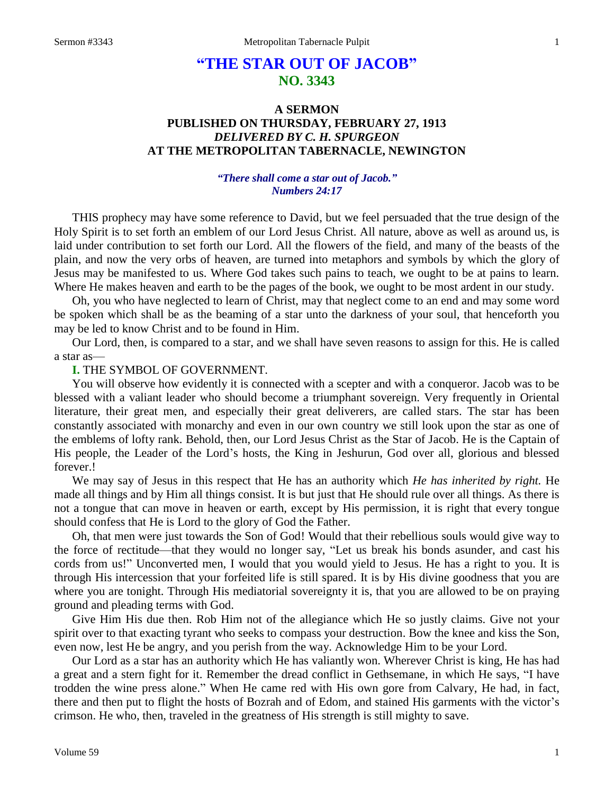# **"THE STAR OUT OF JACOB" NO. 3343**

# **A SERMON PUBLISHED ON THURSDAY, FEBRUARY 27, 1913** *DELIVERED BY C. H. SPURGEON* **AT THE METROPOLITAN TABERNACLE, NEWINGTON**

# *"There shall come a star out of Jacob." Numbers 24:17*

THIS prophecy may have some reference to David, but we feel persuaded that the true design of the Holy Spirit is to set forth an emblem of our Lord Jesus Christ. All nature, above as well as around us, is laid under contribution to set forth our Lord. All the flowers of the field, and many of the beasts of the plain, and now the very orbs of heaven, are turned into metaphors and symbols by which the glory of Jesus may be manifested to us. Where God takes such pains to teach, we ought to be at pains to learn. Where He makes heaven and earth to be the pages of the book, we ought to be most ardent in our study.

Oh, you who have neglected to learn of Christ, may that neglect come to an end and may some word be spoken which shall be as the beaming of a star unto the darkness of your soul, that henceforth you may be led to know Christ and to be found in Him.

Our Lord, then, is compared to a star, and we shall have seven reasons to assign for this. He is called a star as—

# **I.** THE SYMBOL OF GOVERNMENT.

You will observe how evidently it is connected with a scepter and with a conqueror. Jacob was to be blessed with a valiant leader who should become a triumphant sovereign. Very frequently in Oriental literature, their great men, and especially their great deliverers, are called stars. The star has been constantly associated with monarchy and even in our own country we still look upon the star as one of the emblems of lofty rank. Behold, then, our Lord Jesus Christ as the Star of Jacob. He is the Captain of His people, the Leader of the Lord's hosts, the King in Jeshurun, God over all, glorious and blessed forever.!

We may say of Jesus in this respect that He has an authority which *He has inherited by right.* He made all things and by Him all things consist. It is but just that He should rule over all things. As there is not a tongue that can move in heaven or earth, except by His permission, it is right that every tongue should confess that He is Lord to the glory of God the Father.

Oh, that men were just towards the Son of God! Would that their rebellious souls would give way to the force of rectitude—that they would no longer say, "Let us break his bonds asunder, and cast his cords from us!" Unconverted men, I would that you would yield to Jesus. He has a right to you. It is through His intercession that your forfeited life is still spared. It is by His divine goodness that you are where you are tonight. Through His mediatorial sovereignty it is, that you are allowed to be on praying ground and pleading terms with God.

Give Him His due then. Rob Him not of the allegiance which He so justly claims. Give not your spirit over to that exacting tyrant who seeks to compass your destruction. Bow the knee and kiss the Son, even now, lest He be angry, and you perish from the way. Acknowledge Him to be your Lord.

Our Lord as a star has an authority which He has valiantly won. Wherever Christ is king, He has had a great and a stern fight for it. Remember the dread conflict in Gethsemane, in which He says, "I have trodden the wine press alone." When He came red with His own gore from Calvary, He had, in fact, there and then put to flight the hosts of Bozrah and of Edom, and stained His garments with the victor's crimson. He who, then, traveled in the greatness of His strength is still mighty to save.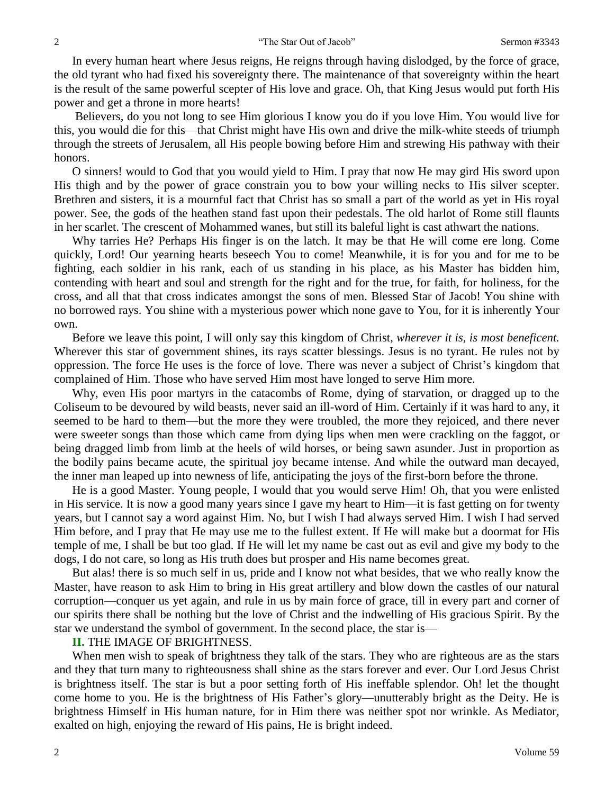In every human heart where Jesus reigns, He reigns through having dislodged, by the force of grace, the old tyrant who had fixed his sovereignty there. The maintenance of that sovereignty within the heart is the result of the same powerful scepter of His love and grace. Oh, that King Jesus would put forth His power and get a throne in more hearts!

Believers, do you not long to see Him glorious I know you do if you love Him. You would live for this, you would die for this—that Christ might have His own and drive the milk-white steeds of triumph through the streets of Jerusalem, all His people bowing before Him and strewing His pathway with their honors.

O sinners! would to God that you would yield to Him. I pray that now He may gird His sword upon His thigh and by the power of grace constrain you to bow your willing necks to His silver scepter. Brethren and sisters, it is a mournful fact that Christ has so small a part of the world as yet in His royal power. See, the gods of the heathen stand fast upon their pedestals. The old harlot of Rome still flaunts in her scarlet. The crescent of Mohammed wanes, but still its baleful light is cast athwart the nations.

Why tarries He? Perhaps His finger is on the latch. It may be that He will come ere long. Come quickly, Lord! Our yearning hearts beseech You to come! Meanwhile, it is for you and for me to be fighting, each soldier in his rank, each of us standing in his place, as his Master has bidden him, contending with heart and soul and strength for the right and for the true, for faith, for holiness, for the cross, and all that that cross indicates amongst the sons of men. Blessed Star of Jacob! You shine with no borrowed rays. You shine with a mysterious power which none gave to You, for it is inherently Your own.

Before we leave this point, I will only say this kingdom of Christ, *wherever it is, is most beneficent.*  Wherever this star of government shines, its rays scatter blessings. Jesus is no tyrant. He rules not by oppression. The force He uses is the force of love. There was never a subject of Christ's kingdom that complained of Him. Those who have served Him most have longed to serve Him more.

Why, even His poor martyrs in the catacombs of Rome, dying of starvation, or dragged up to the Coliseum to be devoured by wild beasts, never said an ill-word of Him. Certainly if it was hard to any, it seemed to be hard to them—but the more they were troubled, the more they rejoiced, and there never were sweeter songs than those which came from dying lips when men were crackling on the faggot, or being dragged limb from limb at the heels of wild horses, or being sawn asunder. Just in proportion as the bodily pains became acute, the spiritual joy became intense. And while the outward man decayed, the inner man leaped up into newness of life, anticipating the joys of the first-born before the throne.

He is a good Master. Young people, I would that you would serve Him! Oh, that you were enlisted in His service. It is now a good many years since I gave my heart to Him—it is fast getting on for twenty years, but I cannot say a word against Him. No, but I wish I had always served Him. I wish I had served Him before, and I pray that He may use me to the fullest extent. If He will make but a doormat for His temple of me, I shall be but too glad. If He will let my name be cast out as evil and give my body to the dogs, I do not care, so long as His truth does but prosper and His name becomes great.

But alas! there is so much self in us, pride and I know not what besides, that we who really know the Master, have reason to ask Him to bring in His great artillery and blow down the castles of our natural corruption—conquer us yet again, and rule in us by main force of grace, till in every part and corner of our spirits there shall be nothing but the love of Christ and the indwelling of His gracious Spirit. By the star we understand the symbol of government. In the second place, the star is—

### **II.** THE IMAGE OF BRIGHTNESS.

When men wish to speak of brightness they talk of the stars. They who are righteous are as the stars and they that turn many to righteousness shall shine as the stars forever and ever. Our Lord Jesus Christ is brightness itself. The star is but a poor setting forth of His ineffable splendor. Oh! let the thought come home to you. He is the brightness of His Father's glory—unutterably bright as the Deity. He is brightness Himself in His human nature, for in Him there was neither spot nor wrinkle. As Mediator, exalted on high, enjoying the reward of His pains, He is bright indeed.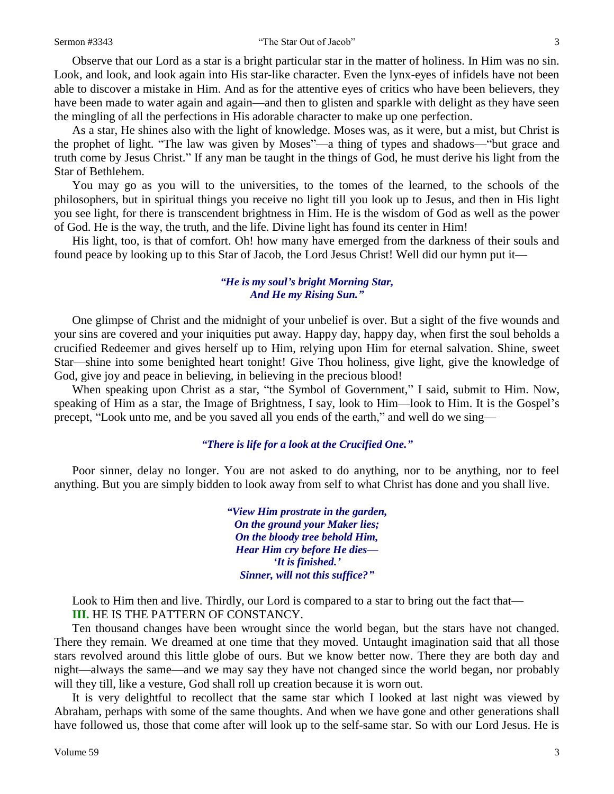#### Sermon #3343 "The Star Out of Jacob" 3

Observe that our Lord as a star is a bright particular star in the matter of holiness. In Him was no sin. Look, and look, and look again into His star-like character. Even the lynx-eyes of infidels have not been able to discover a mistake in Him. And as for the attentive eyes of critics who have been believers, they have been made to water again and again—and then to glisten and sparkle with delight as they have seen the mingling of all the perfections in His adorable character to make up one perfection.

As a star, He shines also with the light of knowledge. Moses was, as it were, but a mist, but Christ is the prophet of light. "The law was given by Moses"—a thing of types and shadows—"but grace and truth come by Jesus Christ." If any man be taught in the things of God, he must derive his light from the Star of Bethlehem.

You may go as you will to the universities, to the tomes of the learned, to the schools of the philosophers, but in spiritual things you receive no light till you look up to Jesus, and then in His light you see light, for there is transcendent brightness in Him. He is the wisdom of God as well as the power of God. He is the way, the truth, and the life. Divine light has found its center in Him!

His light, too, is that of comfort. Oh! how many have emerged from the darkness of their souls and found peace by looking up to this Star of Jacob, the Lord Jesus Christ! Well did our hymn put it—

# *"He is my soul's bright Morning Star, And He my Rising Sun."*

One glimpse of Christ and the midnight of your unbelief is over. But a sight of the five wounds and your sins are covered and your iniquities put away. Happy day, happy day, when first the soul beholds a crucified Redeemer and gives herself up to Him, relying upon Him for eternal salvation. Shine, sweet Star—shine into some benighted heart tonight! Give Thou holiness, give light, give the knowledge of God, give joy and peace in believing, in believing in the precious blood!

When speaking upon Christ as a star, "the Symbol of Government," I said, submit to Him. Now, speaking of Him as a star, the Image of Brightness, I say, look to Him—look to Him. It is the Gospel's precept, "Look unto me, and be you saved all you ends of the earth," and well do we sing—

### *"There is life for a look at the Crucified One."*

Poor sinner, delay no longer. You are not asked to do anything, nor to be anything, nor to feel anything. But you are simply bidden to look away from self to what Christ has done and you shall live.

> *"View Him prostrate in the garden, On the ground your Maker lies; On the bloody tree behold Him, Hear Him cry before He dies— 'It is finished.' Sinner, will not this suffice?"*

Look to Him then and live. Thirdly, our Lord is compared to a star to bring out the fact that—

**III.** HE IS THE PATTERN OF CONSTANCY.

Ten thousand changes have been wrought since the world began, but the stars have not changed. There they remain. We dreamed at one time that they moved. Untaught imagination said that all those stars revolved around this little globe of ours. But we know better now. There they are both day and night—always the same—and we may say they have not changed since the world began, nor probably will they till, like a vesture, God shall roll up creation because it is worn out.

It is very delightful to recollect that the same star which I looked at last night was viewed by Abraham, perhaps with some of the same thoughts. And when we have gone and other generations shall have followed us, those that come after will look up to the self-same star. So with our Lord Jesus. He is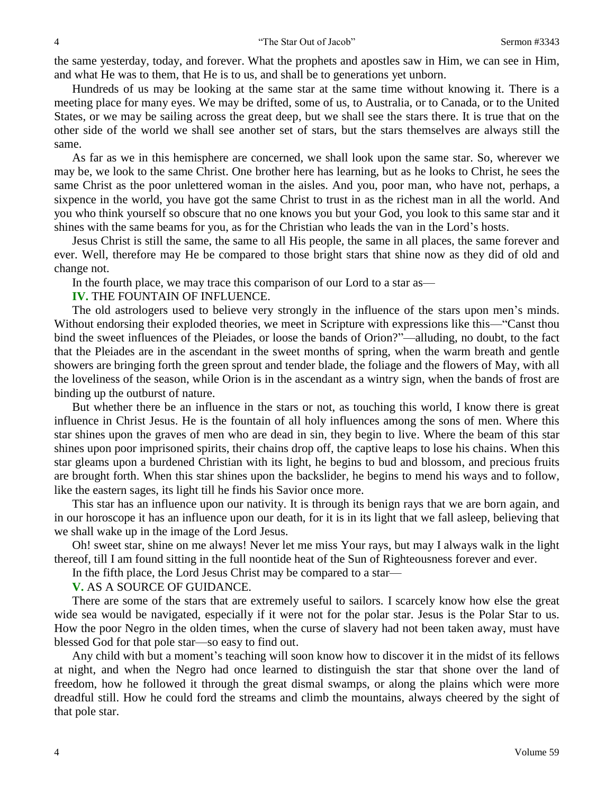the same yesterday, today, and forever. What the prophets and apostles saw in Him, we can see in Him, and what He was to them, that He is to us, and shall be to generations yet unborn.

Hundreds of us may be looking at the same star at the same time without knowing it. There is a meeting place for many eyes. We may be drifted, some of us, to Australia, or to Canada, or to the United States, or we may be sailing across the great deep, but we shall see the stars there. It is true that on the other side of the world we shall see another set of stars, but the stars themselves are always still the same.

As far as we in this hemisphere are concerned, we shall look upon the same star. So, wherever we may be, we look to the same Christ. One brother here has learning, but as he looks to Christ, he sees the same Christ as the poor unlettered woman in the aisles. And you, poor man, who have not, perhaps, a sixpence in the world, you have got the same Christ to trust in as the richest man in all the world. And you who think yourself so obscure that no one knows you but your God, you look to this same star and it shines with the same beams for you, as for the Christian who leads the van in the Lord's hosts.

Jesus Christ is still the same, the same to all His people, the same in all places, the same forever and ever. Well, therefore may He be compared to those bright stars that shine now as they did of old and change not.

In the fourth place, we may trace this comparison of our Lord to a star as—

### **IV.** THE FOUNTAIN OF INFLUENCE.

The old astrologers used to believe very strongly in the influence of the stars upon men's minds. Without endorsing their exploded theories, we meet in Scripture with expressions like this—"Canst thou bind the sweet influences of the Pleiades, or loose the bands of Orion?"—alluding, no doubt, to the fact that the Pleiades are in the ascendant in the sweet months of spring, when the warm breath and gentle showers are bringing forth the green sprout and tender blade, the foliage and the flowers of May, with all the loveliness of the season, while Orion is in the ascendant as a wintry sign, when the bands of frost are binding up the outburst of nature.

But whether there be an influence in the stars or not, as touching this world, I know there is great influence in Christ Jesus. He is the fountain of all holy influences among the sons of men. Where this star shines upon the graves of men who are dead in sin, they begin to live. Where the beam of this star shines upon poor imprisoned spirits, their chains drop off, the captive leaps to lose his chains. When this star gleams upon a burdened Christian with its light, he begins to bud and blossom, and precious fruits are brought forth. When this star shines upon the backslider, he begins to mend his ways and to follow, like the eastern sages, its light till he finds his Savior once more.

This star has an influence upon our nativity. It is through its benign rays that we are born again, and in our horoscope it has an influence upon our death, for it is in its light that we fall asleep, believing that we shall wake up in the image of the Lord Jesus.

Oh! sweet star, shine on me always! Never let me miss Your rays, but may I always walk in the light thereof, till I am found sitting in the full noontide heat of the Sun of Righteousness forever and ever.

In the fifth place, the Lord Jesus Christ may be compared to a star—

# **V.** AS A SOURCE OF GUIDANCE.

There are some of the stars that are extremely useful to sailors. I scarcely know how else the great wide sea would be navigated, especially if it were not for the polar star. Jesus is the Polar Star to us. How the poor Negro in the olden times, when the curse of slavery had not been taken away, must have blessed God for that pole star—so easy to find out.

Any child with but a moment's teaching will soon know how to discover it in the midst of its fellows at night, and when the Negro had once learned to distinguish the star that shone over the land of freedom, how he followed it through the great dismal swamps, or along the plains which were more dreadful still. How he could ford the streams and climb the mountains, always cheered by the sight of that pole star.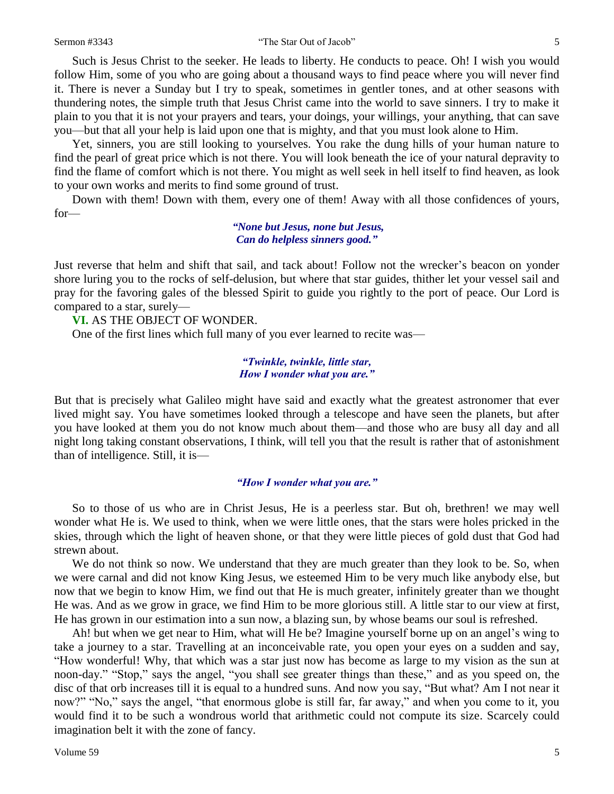#### Sermon #3343 "The Star Out of Jacob" 5

Such is Jesus Christ to the seeker. He leads to liberty. He conducts to peace. Oh! I wish you would follow Him, some of you who are going about a thousand ways to find peace where you will never find it. There is never a Sunday but I try to speak, sometimes in gentler tones, and at other seasons with thundering notes, the simple truth that Jesus Christ came into the world to save sinners. I try to make it plain to you that it is not your prayers and tears, your doings, your willings, your anything, that can save you—but that all your help is laid upon one that is mighty, and that you must look alone to Him.

Yet, sinners, you are still looking to yourselves. You rake the dung hills of your human nature to find the pearl of great price which is not there. You will look beneath the ice of your natural depravity to find the flame of comfort which is not there. You might as well seek in hell itself to find heaven, as look to your own works and merits to find some ground of trust.

Down with them! Down with them, every one of them! Away with all those confidences of yours, for—

### *"None but Jesus, none but Jesus, Can do helpless sinners good."*

Just reverse that helm and shift that sail, and tack about! Follow not the wrecker's beacon on yonder shore luring you to the rocks of self-delusion, but where that star guides, thither let your vessel sail and pray for the favoring gales of the blessed Spirit to guide you rightly to the port of peace. Our Lord is compared to a star, surely—

**VI.** AS THE OBJECT OF WONDER.

One of the first lines which full many of you ever learned to recite was—

### *"Twinkle, twinkle, little star, How I wonder what you are."*

But that is precisely what Galileo might have said and exactly what the greatest astronomer that ever lived might say. You have sometimes looked through a telescope and have seen the planets, but after you have looked at them you do not know much about them—and those who are busy all day and all night long taking constant observations, I think, will tell you that the result is rather that of astonishment than of intelligence. Still, it is—

### *"How I wonder what you are."*

So to those of us who are in Christ Jesus, He is a peerless star. But oh, brethren! we may well wonder what He is. We used to think, when we were little ones, that the stars were holes pricked in the skies, through which the light of heaven shone, or that they were little pieces of gold dust that God had strewn about.

We do not think so now. We understand that they are much greater than they look to be. So, when we were carnal and did not know King Jesus, we esteemed Him to be very much like anybody else, but now that we begin to know Him, we find out that He is much greater, infinitely greater than we thought He was. And as we grow in grace, we find Him to be more glorious still. A little star to our view at first, He has grown in our estimation into a sun now, a blazing sun, by whose beams our soul is refreshed.

Ah! but when we get near to Him, what will He be? Imagine yourself borne up on an angel's wing to take a journey to a star. Travelling at an inconceivable rate, you open your eyes on a sudden and say, "How wonderful! Why, that which was a star just now has become as large to my vision as the sun at noon-day." "Stop," says the angel, "you shall see greater things than these," and as you speed on, the disc of that orb increases till it is equal to a hundred suns. And now you say, "But what? Am I not near it now?" "No," says the angel, "that enormous globe is still far, far away," and when you come to it, you would find it to be such a wondrous world that arithmetic could not compute its size. Scarcely could imagination belt it with the zone of fancy.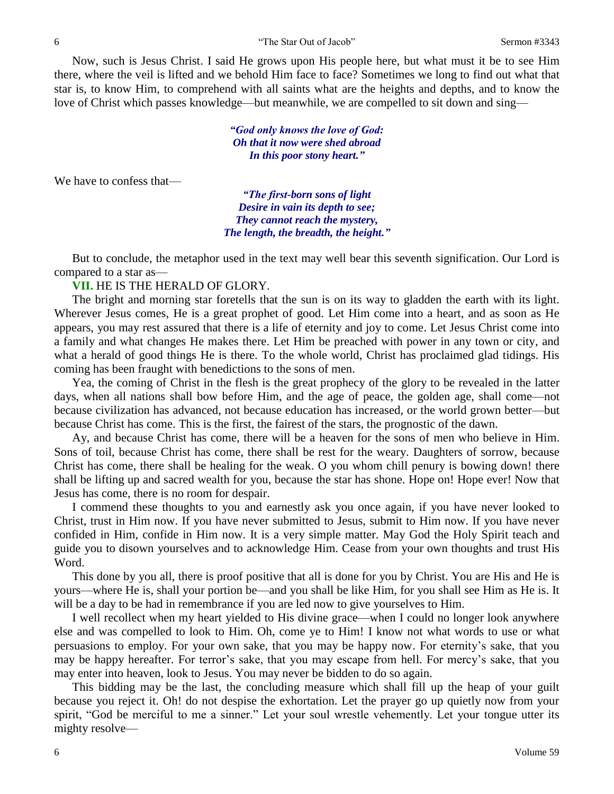Now, such is Jesus Christ. I said He grows upon His people here, but what must it be to see Him there, where the veil is lifted and we behold Him face to face? Sometimes we long to find out what that star is, to know Him, to comprehend with all saints what are the heights and depths, and to know the love of Christ which passes knowledge—but meanwhile, we are compelled to sit down and sing—

> *"God only knows the love of God: Oh that it now were shed abroad In this poor stony heart."*

We have to confess that—

*"The first-born sons of light Desire in vain its depth to see; They cannot reach the mystery, The length, the breadth, the height."*

But to conclude, the metaphor used in the text may well bear this seventh signification. Our Lord is compared to a star as—

**VII.** HE IS THE HERALD OF GLORY.

The bright and morning star foretells that the sun is on its way to gladden the earth with its light. Wherever Jesus comes, He is a great prophet of good. Let Him come into a heart, and as soon as He appears, you may rest assured that there is a life of eternity and joy to come. Let Jesus Christ come into a family and what changes He makes there. Let Him be preached with power in any town or city, and what a herald of good things He is there. To the whole world, Christ has proclaimed glad tidings. His coming has been fraught with benedictions to the sons of men.

Yea, the coming of Christ in the flesh is the great prophecy of the glory to be revealed in the latter days, when all nations shall bow before Him, and the age of peace, the golden age, shall come—not because civilization has advanced, not because education has increased, or the world grown better—but because Christ has come. This is the first, the fairest of the stars, the prognostic of the dawn.

Ay, and because Christ has come, there will be a heaven for the sons of men who believe in Him. Sons of toil, because Christ has come, there shall be rest for the weary. Daughters of sorrow, because Christ has come, there shall be healing for the weak. O you whom chill penury is bowing down! there shall be lifting up and sacred wealth for you, because the star has shone. Hope on! Hope ever! Now that Jesus has come, there is no room for despair.

I commend these thoughts to you and earnestly ask you once again, if you have never looked to Christ, trust in Him now. If you have never submitted to Jesus, submit to Him now. If you have never confided in Him, confide in Him now. It is a very simple matter. May God the Holy Spirit teach and guide you to disown yourselves and to acknowledge Him. Cease from your own thoughts and trust His Word.

This done by you all, there is proof positive that all is done for you by Christ. You are His and He is yours—where He is, shall your portion be—and you shall be like Him, for you shall see Him as He is. It will be a day to be had in remembrance if you are led now to give yourselves to Him.

I well recollect when my heart yielded to His divine grace—when I could no longer look anywhere else and was compelled to look to Him. Oh, come ye to Him! I know not what words to use or what persuasions to employ. For your own sake, that you may be happy now. For eternity's sake, that you may be happy hereafter. For terror's sake, that you may escape from hell. For mercy's sake, that you may enter into heaven, look to Jesus. You may never be bidden to do so again.

This bidding may be the last, the concluding measure which shall fill up the heap of your guilt because you reject it. Oh! do not despise the exhortation. Let the prayer go up quietly now from your spirit, "God be merciful to me a sinner." Let your soul wrestle vehemently. Let your tongue utter its mighty resolve—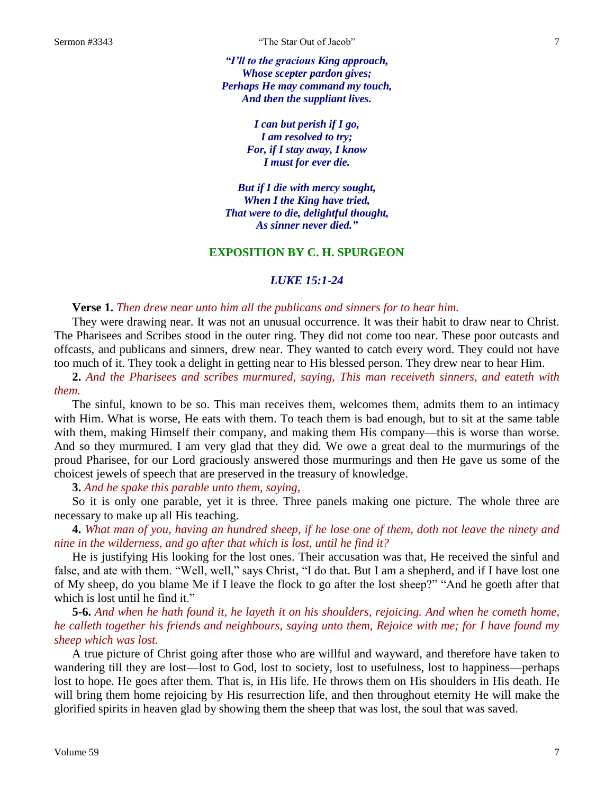*"I'll to the gracious King approach, Whose scepter pardon gives; Perhaps He may command my touch, And then the suppliant lives.*

> *I can but perish if I go, I am resolved to try; For, if I stay away, I know I must for ever die.*

*But if I die with mercy sought, When I the King have tried, That were to die, delightful thought, As sinner never died."*

## **EXPOSITION BY C. H. SPURGEON**

### *LUKE 15:1-24*

### **Verse 1.** *Then drew near unto him all the publicans and sinners for to hear him.*

They were drawing near. It was not an unusual occurrence. It was their habit to draw near to Christ. The Pharisees and Scribes stood in the outer ring. They did not come too near. These poor outcasts and offcasts, and publicans and sinners, drew near. They wanted to catch every word. They could not have too much of it. They took a delight in getting near to His blessed person. They drew near to hear Him.

**2.** *And the Pharisees and scribes murmured, saying, This man receiveth sinners, and eateth with them.*

The sinful, known to be so. This man receives them, welcomes them, admits them to an intimacy with Him. What is worse, He eats with them. To teach them is bad enough, but to sit at the same table with them, making Himself their company, and making them His company—this is worse than worse. And so they murmured. I am very glad that they did. We owe a great deal to the murmurings of the proud Pharisee, for our Lord graciously answered those murmurings and then He gave us some of the choicest jewels of speech that are preserved in the treasury of knowledge.

**3.** *And he spake this parable unto them, saying,*

So it is only one parable, yet it is three. Three panels making one picture. The whole three are necessary to make up all His teaching.

**4.** *What man of you, having an hundred sheep, if he lose one of them, doth not leave the ninety and nine in the wilderness, and go after that which is lost, until he find it?*

He is justifying His looking for the lost ones. Their accusation was that, He received the sinful and false, and ate with them. "Well, well," says Christ, "I do that. But I am a shepherd, and if I have lost one of My sheep, do you blame Me if I leave the flock to go after the lost sheep?" "And he goeth after that which is lost until he find it."

**5-6.** *And when he hath found it, he layeth it on his shoulders, rejoicing. And when he cometh home, he calleth together his friends and neighbours, saying unto them, Rejoice with me; for I have found my sheep which was lost.*

A true picture of Christ going after those who are willful and wayward, and therefore have taken to wandering till they are lost—lost to God, lost to society, lost to usefulness, lost to happiness—perhaps lost to hope. He goes after them. That is, in His life. He throws them on His shoulders in His death. He will bring them home rejoicing by His resurrection life, and then throughout eternity He will make the glorified spirits in heaven glad by showing them the sheep that was lost, the soul that was saved.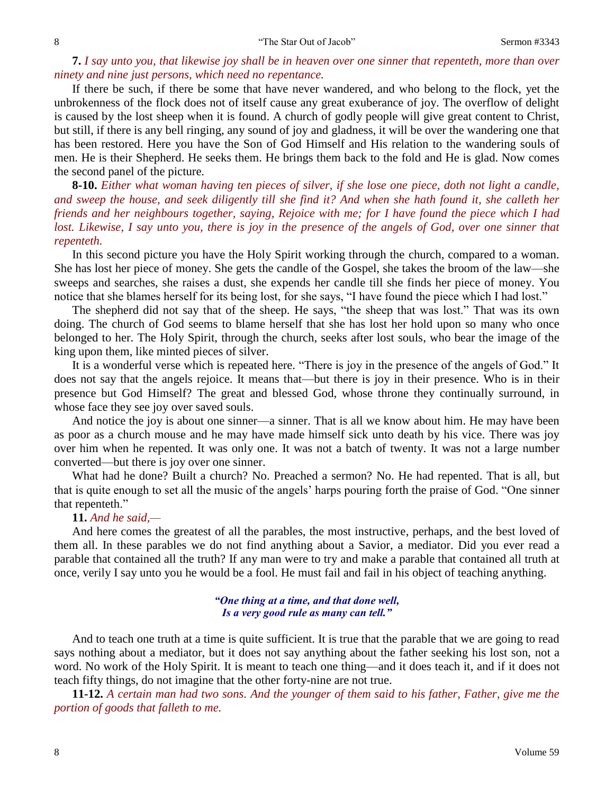**7.** *I say unto you, that likewise joy shall be in heaven over one sinner that repenteth, more than over ninety and nine just persons, which need no repentance.*

If there be such, if there be some that have never wandered, and who belong to the flock, yet the unbrokenness of the flock does not of itself cause any great exuberance of joy. The overflow of delight is caused by the lost sheep when it is found. A church of godly people will give great content to Christ, but still, if there is any bell ringing, any sound of joy and gladness, it will be over the wandering one that has been restored. Here you have the Son of God Himself and His relation to the wandering souls of men. He is their Shepherd. He seeks them. He brings them back to the fold and He is glad. Now comes the second panel of the picture.

**8-10.** *Either what woman having ten pieces of silver, if she lose one piece, doth not light a candle, and sweep the house, and seek diligently till she find it? And when she hath found it, she calleth her friends and her neighbours together, saying, Rejoice with me; for I have found the piece which I had lost. Likewise, I say unto you, there is joy in the presence of the angels of God, over one sinner that repenteth.*

In this second picture you have the Holy Spirit working through the church, compared to a woman. She has lost her piece of money. She gets the candle of the Gospel, she takes the broom of the law—she sweeps and searches, she raises a dust, she expends her candle till she finds her piece of money. You notice that she blames herself for its being lost, for she says, "I have found the piece which I had lost."

The shepherd did not say that of the sheep. He says, "the sheep that was lost." That was its own doing. The church of God seems to blame herself that she has lost her hold upon so many who once belonged to her. The Holy Spirit, through the church, seeks after lost souls, who bear the image of the king upon them, like minted pieces of silver.

It is a wonderful verse which is repeated here. "There is joy in the presence of the angels of God." It does not say that the angels rejoice. It means that—but there is joy in their presence. Who is in their presence but God Himself? The great and blessed God, whose throne they continually surround, in whose face they see joy over saved souls.

And notice the joy is about one sinner—a sinner. That is all we know about him. He may have been as poor as a church mouse and he may have made himself sick unto death by his vice. There was joy over him when he repented. It was only one. It was not a batch of twenty. It was not a large number converted—but there is joy over one sinner.

What had he done? Built a church? No. Preached a sermon? No. He had repented. That is all, but that is quite enough to set all the music of the angels' harps pouring forth the praise of God. "One sinner that repenteth."

# **11.** *And he said,—*

And here comes the greatest of all the parables, the most instructive, perhaps, and the best loved of them all. In these parables we do not find anything about a Savior, a mediator. Did you ever read a parable that contained all the truth? If any man were to try and make a parable that contained all truth at once, verily I say unto you he would be a fool. He must fail and fail in his object of teaching anything.

### *"One thing at a time, and that done well, Is a very good rule as many can tell."*

And to teach one truth at a time is quite sufficient. It is true that the parable that we are going to read says nothing about a mediator, but it does not say anything about the father seeking his lost son, not a word. No work of the Holy Spirit. It is meant to teach one thing—and it does teach it, and if it does not teach fifty things, do not imagine that the other forty-nine are not true.

**11-12.** *A certain man had two sons. And the younger of them said to his father, Father, give me the portion of goods that falleth to me.*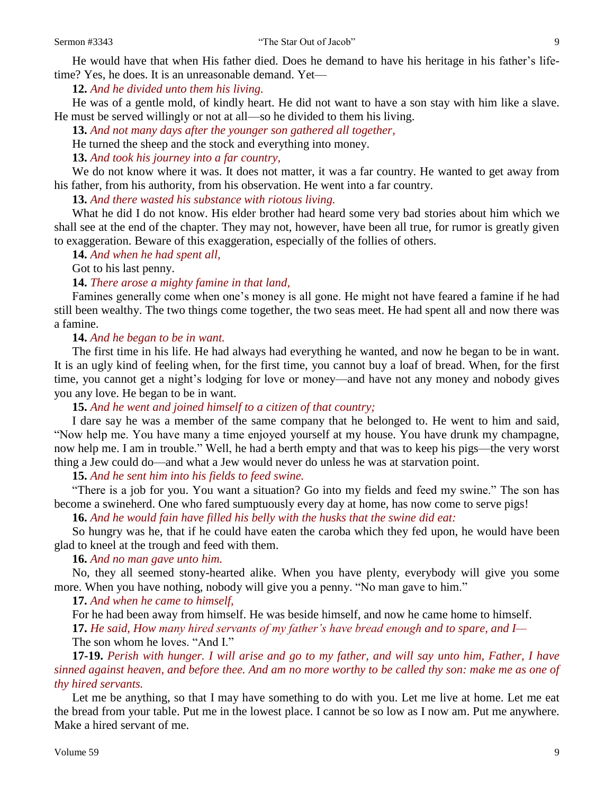**12.** *And he divided unto them his living.*

He was of a gentle mold, of kindly heart. He did not want to have a son stay with him like a slave. He must be served willingly or not at all—so he divided to them his living.

**13.** *And not many days after the younger son gathered all together,*

He turned the sheep and the stock and everything into money.

**13.** *And took his journey into a far country,*

We do not know where it was. It does not matter, it was a far country. He wanted to get away from his father, from his authority, from his observation. He went into a far country.

**13.** *And there wasted his substance with riotous living.*

What he did I do not know. His elder brother had heard some very bad stories about him which we shall see at the end of the chapter. They may not, however, have been all true, for rumor is greatly given to exaggeration. Beware of this exaggeration, especially of the follies of others.

**14.** *And when he had spent all,*

Got to his last penny.

**14.** *There arose a mighty famine in that land,*

Famines generally come when one's money is all gone. He might not have feared a famine if he had still been wealthy. The two things come together, the two seas meet. He had spent all and now there was a famine.

**14.** *And he began to be in want.*

The first time in his life. He had always had everything he wanted, and now he began to be in want. It is an ugly kind of feeling when, for the first time, you cannot buy a loaf of bread. When, for the first time, you cannot get a night's lodging for love or money—and have not any money and nobody gives you any love. He began to be in want.

**15.** *And he went and joined himself to a citizen of that country;*

I dare say he was a member of the same company that he belonged to. He went to him and said, "Now help me. You have many a time enjoyed yourself at my house. You have drunk my champagne, now help me. I am in trouble." Well, he had a berth empty and that was to keep his pigs—the very worst thing a Jew could do—and what a Jew would never do unless he was at starvation point.

**15.** *And he sent him into his fields to feed swine.*

"There is a job for you. You want a situation? Go into my fields and feed my swine." The son has become a swineherd. One who fared sumptuously every day at home, has now come to serve pigs!

**16.** *And he would fain have filled his belly with the husks that the swine did eat:*

So hungry was he, that if he could have eaten the caroba which they fed upon, he would have been glad to kneel at the trough and feed with them.

**16.** *And no man gave unto him.*

No, they all seemed stony-hearted alike. When you have plenty, everybody will give you some more. When you have nothing, nobody will give you a penny. "No man gave to him."

**17.** *And when he came to himself,*

For he had been away from himself. He was beside himself, and now he came home to himself.

**17.** *He said, How many hired servants of my father's have bread enough and to spare, and I—* The son whom he loves. "And I."

**17-19.** *Perish with hunger. I will arise and go to my father, and will say unto him, Father, I have sinned against heaven, and before thee. And am no more worthy to be called thy son: make me as one of thy hired servants.*

Let me be anything, so that I may have something to do with you. Let me live at home. Let me eat the bread from your table. Put me in the lowest place. I cannot be so low as I now am. Put me anywhere. Make a hired servant of me.